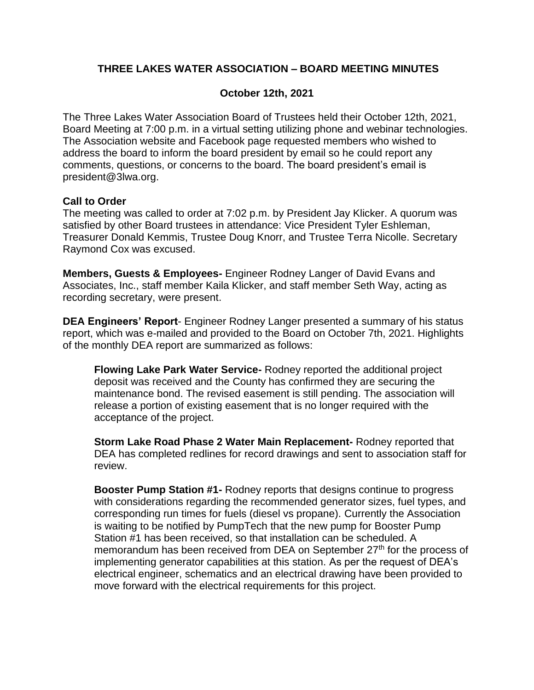# **THREE LAKES WATER ASSOCIATION – BOARD MEETING MINUTES**

### **October 12th, 2021**

The Three Lakes Water Association Board of Trustees held their October 12th, 2021, Board Meeting at 7:00 p.m. in a virtual setting utilizing phone and webinar technologies. The Association website and Facebook page requested members who wished to address the board to inform the board president by email so he could report any comments, questions, or concerns to the board. The board president's email is president@3lwa.org.

### **Call to Order**

The meeting was called to order at 7:02 p.m. by President Jay Klicker. A quorum was satisfied by other Board trustees in attendance: Vice President Tyler Eshleman, Treasurer Donald Kemmis, Trustee Doug Knorr, and Trustee Terra Nicolle. Secretary Raymond Cox was excused.

**Members, Guests & Employees-** Engineer Rodney Langer of David Evans and Associates, Inc., staff member Kaila Klicker, and staff member Seth Way, acting as recording secretary, were present.

**DEA Engineers' Report**- Engineer Rodney Langer presented a summary of his status report, which was e-mailed and provided to the Board on October 7th, 2021. Highlights of the monthly DEA report are summarized as follows:

**Flowing Lake Park Water Service-** Rodney reported the additional project deposit was received and the County has confirmed they are securing the maintenance bond. The revised easement is still pending. The association will release a portion of existing easement that is no longer required with the acceptance of the project.

**Storm Lake Road Phase 2 Water Main Replacement-** Rodney reported that DEA has completed redlines for record drawings and sent to association staff for review.

**Booster Pump Station #1-** Rodney reports that designs continue to progress with considerations regarding the recommended generator sizes, fuel types, and corresponding run times for fuels (diesel vs propane). Currently the Association is waiting to be notified by PumpTech that the new pump for Booster Pump Station #1 has been received, so that installation can be scheduled. A memorandum has been received from DEA on September 27<sup>th</sup> for the process of implementing generator capabilities at this station. As per the request of DEA's electrical engineer, schematics and an electrical drawing have been provided to move forward with the electrical requirements for this project.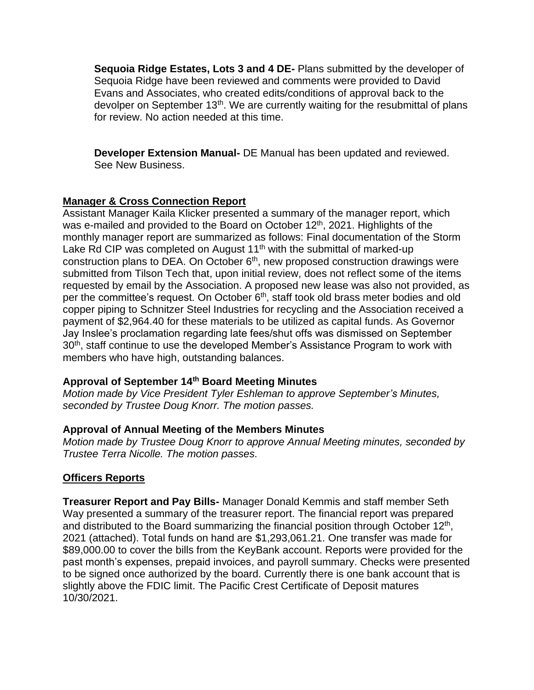**Sequoia Ridge Estates, Lots 3 and 4 DE-** Plans submitted by the developer of Sequoia Ridge have been reviewed and comments were provided to David Evans and Associates, who created edits/conditions of approval back to the devolper on September 13<sup>th</sup>. We are currently waiting for the resubmittal of plans for review. No action needed at this time.

**Developer Extension Manual-** DE Manual has been updated and reviewed. See New Business.

# **Manager & Cross Connection Report**

Assistant Manager Kaila Klicker presented a summary of the manager report, which was e-mailed and provided to the Board on October 12<sup>th</sup>, 2021. Highlights of the monthly manager report are summarized as follows: Final documentation of the Storm Lake Rd CIP was completed on August  $11<sup>th</sup>$  with the submittal of marked-up construction plans to DEA. On October  $6<sup>th</sup>$ , new proposed construction drawings were submitted from Tilson Tech that, upon initial review, does not reflect some of the items requested by email by the Association. A proposed new lease was also not provided, as per the committee's request. On October 6<sup>th</sup>, staff took old brass meter bodies and old copper piping to Schnitzer Steel Industries for recycling and the Association received a payment of \$2,964.40 for these materials to be utilized as capital funds. As Governor Jay Inslee's proclamation regarding late fees/shut offs was dismissed on September 30<sup>th</sup>, staff continue to use the developed Member's Assistance Program to work with members who have high, outstanding balances.

# **Approval of September 14th Board Meeting Minutes**

*Motion made by Vice President Tyler Eshleman to approve September's Minutes, seconded by Trustee Doug Knorr. The motion passes.*

### **Approval of Annual Meeting of the Members Minutes**

*Motion made by Trustee Doug Knorr to approve Annual Meeting minutes, seconded by Trustee Terra Nicolle. The motion passes.*

# **Officers Reports**

**Treasurer Report and Pay Bills-** Manager Donald Kemmis and staff member Seth Way presented a summary of the treasurer report. The financial report was prepared and distributed to the Board summarizing the financial position through October  $12<sup>th</sup>$ , 2021 (attached). Total funds on hand are \$1,293,061.21. One transfer was made for \$89,000.00 to cover the bills from the KeyBank account. Reports were provided for the past month's expenses, prepaid invoices, and payroll summary. Checks were presented to be signed once authorized by the board. Currently there is one bank account that is slightly above the FDIC limit. The Pacific Crest Certificate of Deposit matures 10/30/2021.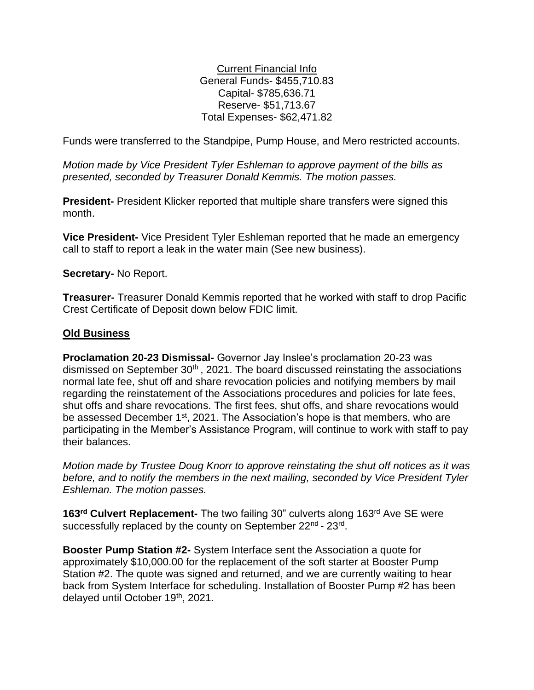Current Financial Info General Funds- \$455,710.83 Capital- \$785,636.71 Reserve- \$51,713.67 Total Expenses- \$62,471.82

Funds were transferred to the Standpipe, Pump House, and Mero restricted accounts.

*Motion made by Vice President Tyler Eshleman to approve payment of the bills as presented, seconded by Treasurer Donald Kemmis. The motion passes.*

**President-** President Klicker reported that multiple share transfers were signed this month.

**Vice President-** Vice President Tyler Eshleman reported that he made an emergency call to staff to report a leak in the water main (See new business).

**Secretary-** No Report.

**Treasurer-** Treasurer Donald Kemmis reported that he worked with staff to drop Pacific Crest Certificate of Deposit down below FDIC limit.

### **Old Business**

**Proclamation 20-23 Dismissal-** Governor Jay Inslee's proclamation 20-23 was dismissed on September 30<sup>th</sup>, 2021. The board discussed reinstating the associations normal late fee, shut off and share revocation policies and notifying members by mail regarding the reinstatement of the Associations procedures and policies for late fees, shut offs and share revocations. The first fees, shut offs, and share revocations would be assessed December 1<sup>st</sup>, 2021. The Association's hope is that members, who are participating in the Member's Assistance Program, will continue to work with staff to pay their balances.

*Motion made by Trustee Doug Knorr to approve reinstating the shut off notices as it was before, and to notify the members in the next mailing, seconded by Vice President Tyler Eshleman. The motion passes.*

**163rd Culvert Replacement-** The two failing 30" culverts along 163rd Ave SE were successfully replaced by the county on September 22<sup>nd</sup> - 23<sup>rd</sup>.

**Booster Pump Station #2-** System Interface sent the Association a quote for approximately \$10,000.00 for the replacement of the soft starter at Booster Pump Station #2. The quote was signed and returned, and we are currently waiting to hear back from System Interface for scheduling. Installation of Booster Pump #2 has been delayed until October 19<sup>th</sup>, 2021.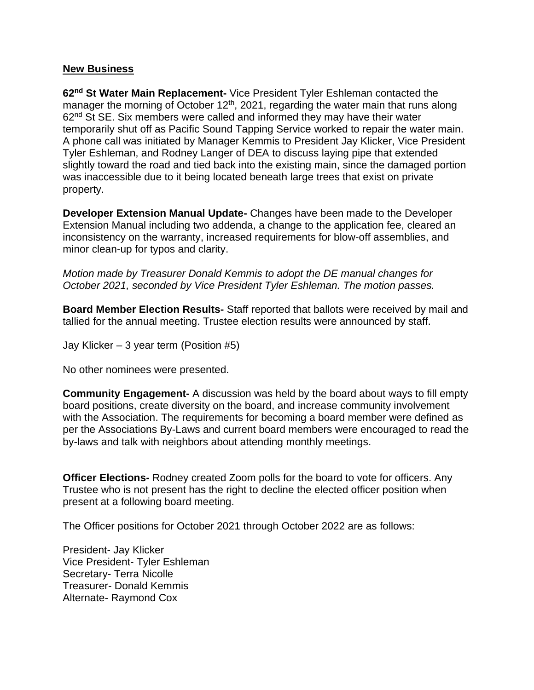#### **New Business**

**62nd St Water Main Replacement-** Vice President Tyler Eshleman contacted the manager the morning of October  $12<sup>th</sup>$ , 2021, regarding the water main that runs along  $62<sup>nd</sup>$  St SE. Six members were called and informed they may have their water temporarily shut off as Pacific Sound Tapping Service worked to repair the water main. A phone call was initiated by Manager Kemmis to President Jay Klicker, Vice President Tyler Eshleman, and Rodney Langer of DEA to discuss laying pipe that extended slightly toward the road and tied back into the existing main, since the damaged portion was inaccessible due to it being located beneath large trees that exist on private property.

**Developer Extension Manual Update-** Changes have been made to the Developer Extension Manual including two addenda, a change to the application fee, cleared an inconsistency on the warranty, increased requirements for blow-off assemblies, and minor clean-up for typos and clarity.

*Motion made by Treasurer Donald Kemmis to adopt the DE manual changes for October 2021, seconded by Vice President Tyler Eshleman. The motion passes.*

**Board Member Election Results-** Staff reported that ballots were received by mail and tallied for the annual meeting. Trustee election results were announced by staff.

Jay Klicker – 3 year term (Position #5)

No other nominees were presented.

**Community Engagement-** A discussion was held by the board about ways to fill empty board positions, create diversity on the board, and increase community involvement with the Association. The requirements for becoming a board member were defined as per the Associations By-Laws and current board members were encouraged to read the by-laws and talk with neighbors about attending monthly meetings.

**Officer Elections-** Rodney created Zoom polls for the board to vote for officers. Any Trustee who is not present has the right to decline the elected officer position when present at a following board meeting.

The Officer positions for October 2021 through October 2022 are as follows:

President- Jay Klicker Vice President- Tyler Eshleman Secretary- Terra Nicolle Treasurer- Donald Kemmis Alternate- Raymond Cox